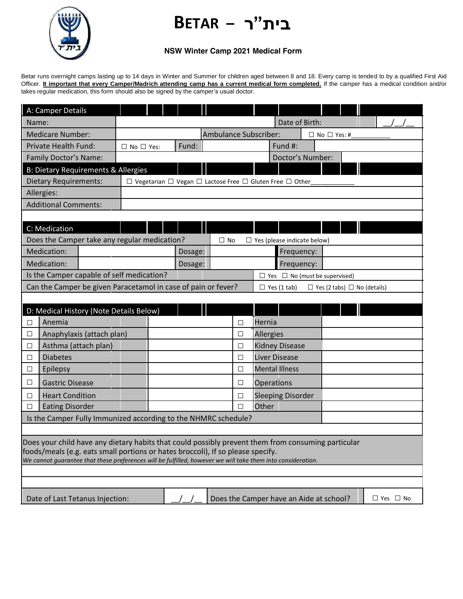## **בית"ר – BETAR**



## **NSW Winter Camp 2021 Medical Form**

Betar runs overnight camps lasting up to 14 days in Winter and Summer for children aged between 8 and 18. Every camp is tended to by a qualified First Aid Officer. It important that every Camper/Madrich attending camp has a current medical form completed. If the camper has a medical condition and/or takes regular medication, this form should also be signed by the camper's usual doctor.

| A: Camper Details                                                                                                                                                                              |                                                                                    |         |           |        |                                    |                         |  |  |  |  |
|------------------------------------------------------------------------------------------------------------------------------------------------------------------------------------------------|------------------------------------------------------------------------------------|---------|-----------|--------|------------------------------------|-------------------------|--|--|--|--|
| Name:                                                                                                                                                                                          | Date of Birth:                                                                     |         |           |        |                                    |                         |  |  |  |  |
| <b>Medicare Number:</b>                                                                                                                                                                        | Ambulance Subscriber:                                                              |         |           |        |                                    | $\Box$ No $\Box$ Yes: # |  |  |  |  |
| <b>Private Health Fund:</b>                                                                                                                                                                    | $\square$ No $\square$ Yes:                                                        | Fund:   |           |        | Fund #:                            |                         |  |  |  |  |
| Family Doctor's Name:                                                                                                                                                                          |                                                                                    |         |           |        | Doctor's Number:                   |                         |  |  |  |  |
| <b>B: Dietary Requirements &amp; Allergies</b>                                                                                                                                                 |                                                                                    |         |           |        |                                    |                         |  |  |  |  |
| Dietary Requirements:                                                                                                                                                                          | $\Box$ Vegetarian $\Box$ Vegan $\Box$ Lactose Free $\Box$ Gluten Free $\Box$ Other |         |           |        |                                    |                         |  |  |  |  |
| Allergies:                                                                                                                                                                                     |                                                                                    |         |           |        |                                    |                         |  |  |  |  |
| <b>Additional Comments:</b>                                                                                                                                                                    |                                                                                    |         |           |        |                                    |                         |  |  |  |  |
|                                                                                                                                                                                                |                                                                                    |         |           |        |                                    |                         |  |  |  |  |
| C: Medication                                                                                                                                                                                  |                                                                                    |         |           |        |                                    |                         |  |  |  |  |
| Does the Camper take any regular medication?                                                                                                                                                   |                                                                                    |         | $\Box$ No |        | $\Box$ Yes (please indicate below) |                         |  |  |  |  |
| Medication:                                                                                                                                                                                    |                                                                                    | Dosage: |           |        | Frequency:                         |                         |  |  |  |  |
| Medication:                                                                                                                                                                                    |                                                                                    | Dosage: |           |        | Frequency:                         |                         |  |  |  |  |
| Is the Camper capable of self medication?<br>$\Box$ Yes $\Box$ No (must be supervised)                                                                                                         |                                                                                    |         |           |        |                                    |                         |  |  |  |  |
| Can the Camper be given Paracetamol in case of pain or fever?<br>$\Box$ Yes (1 tab)<br>$\Box$ Yes (2 tabs) $\Box$ No (details)                                                                 |                                                                                    |         |           |        |                                    |                         |  |  |  |  |
|                                                                                                                                                                                                |                                                                                    |         |           |        |                                    |                         |  |  |  |  |
| D: Medical History (Note Details Below)                                                                                                                                                        |                                                                                    |         |           |        |                                    |                         |  |  |  |  |
| Anemia<br>□                                                                                                                                                                                    |                                                                                    |         |           | $\Box$ | Hernia                             |                         |  |  |  |  |
| Anaphylaxis (attach plan)<br>$\Box$                                                                                                                                                            |                                                                                    |         |           | $\Box$ | <b>Allergies</b>                   |                         |  |  |  |  |
| Asthma (attach plan)<br>□                                                                                                                                                                      |                                                                                    |         |           | □      | <b>Kidney Disease</b>              |                         |  |  |  |  |
| <b>Diabetes</b><br>□                                                                                                                                                                           |                                                                                    |         |           | $\Box$ | <b>Liver Disease</b>               |                         |  |  |  |  |
| Epilepsy<br>$\Box$                                                                                                                                                                             |                                                                                    |         |           | □      | <b>Mental Illness</b>              |                         |  |  |  |  |
| <b>Gastric Disease</b><br>⊔                                                                                                                                                                    |                                                                                    |         |           | □      | <b>Operations</b>                  |                         |  |  |  |  |
| <b>Heart Condition</b><br>□                                                                                                                                                                    |                                                                                    |         |           | □      | <b>Sleeping Disorder</b>           |                         |  |  |  |  |
| <b>Eating Disorder</b><br>□                                                                                                                                                                    |                                                                                    |         |           | $\Box$ | Other                              |                         |  |  |  |  |
| Is the Camper Fully Immunized according to the NHMRC schedule?                                                                                                                                 |                                                                                    |         |           |        |                                    |                         |  |  |  |  |
|                                                                                                                                                                                                |                                                                                    |         |           |        |                                    |                         |  |  |  |  |
| Does your child have any dietary habits that could possibly prevent them from consuming particular                                                                                             |                                                                                    |         |           |        |                                    |                         |  |  |  |  |
| foods/meals (e.g. eats small portions or hates broccoli), If so please specify.<br>We cannot guarantee that these preferences will be fulfilled, however we will take them into consideration. |                                                                                    |         |           |        |                                    |                         |  |  |  |  |
|                                                                                                                                                                                                |                                                                                    |         |           |        |                                    |                         |  |  |  |  |
|                                                                                                                                                                                                |                                                                                    |         |           |        |                                    |                         |  |  |  |  |
|                                                                                                                                                                                                |                                                                                    |         |           |        |                                    |                         |  |  |  |  |
| Date of Last Tetanus Injection:<br>Does the Camper have an Aide at school?<br>$\Box$ Yes $\Box$ No                                                                                             |                                                                                    |         |           |        |                                    |                         |  |  |  |  |